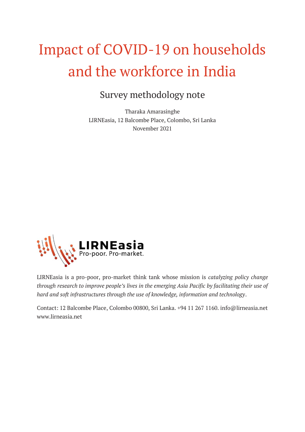# Impact of COVID-19 on households and the workforce in India

## Survey methodology note

Tharaka Amarasinghe LIRNEasia, 12 Balcombe Place, Colombo, Sri Lanka November 2021



LIRNEasia is a pro-poor, pro-market think tank whose mission is *catalyzing policy change through research to improve people's lives in the emerging Asia Pacific by facilitating their use of hard and soft infrastructures through the use of knowledge, information and technology*.

Contact: 12 Balcombe Place, Colombo 00800, Sri Lanka. +94 11 267 1160. info@lirneasia.net www.lirneasia.net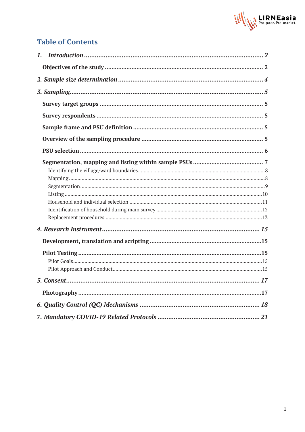

### **Table of Contents**

| . 17 |  |
|------|--|
|      |  |
|      |  |
|      |  |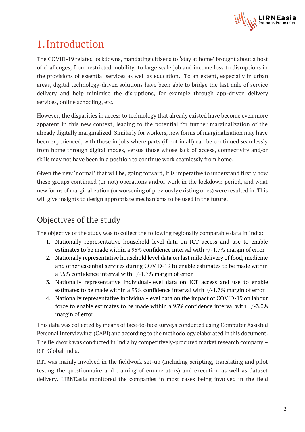

## <span id="page-2-0"></span>1.Introduction

The COVID-19 related lockdowns, mandating citizens to 'stay at home' brought about a host of challenges, from restricted mobility, to large scale job and income loss to disruptions in the provisions of essential services as well as education. To an extent, especially in urban areas, digital technology-driven solutions have been able to bridge the last mile of service delivery and help minimise the disruptions, for example through app-driven delivery services, online schooling, etc.

However, the disparities in access to technology that already existed have become even more apparent in this new context, leading to the potential for further marginalization of the already digitally marginalized. Similarly for workers, new forms of marginalization may have been experienced, with those in jobs where parts (if not in all) can be continued seamlessly from home through digital modes, versus those whose lack of access, connectivity and/or skills may not have been in a position to continue work seamlessly from home.

Given the new 'normal' that will be, going forward, it is imperative to understand firstly how these groups continued (or not) operations and/or work in the lockdown period, and what new forms of marginalization (or worsening of previously existing ones) were resulted in. This will give insights to design appropriate mechanisms to be used in the future.

## <span id="page-2-1"></span>Objectives of the study

The objective of the study was to collect the following regionally comparable data in India:

- 1. Nationally representative household level data on ICT access and use to enable estimates to be made within a 95% confidence interval with +/-1.7% margin of error
- 2. Nationally representative household level data on last mile delivery of food, medicine and other essential services during COVID-19 to enable estimates to be made within a 95% confidence interval with +/-1.7% margin of error
- 3. Nationally representative individual-level data on ICT access and use to enable estimates to be made within a 95% confidence interval with +/-1.7% margin of error
- 4. Nationally representative individual-level data on the impact of COVID-19 on labour force to enable estimates to be made within a 95% confidence interval with +/-3.0% margin of error

This data was collected by means of face-to-face surveys conducted using Computer Assisted Personal Interviewing (CAPI) and according to the methodology elaborated in this document. The fieldwork was conducted in India by competitively-procured market research company – RTI Global India.

RTI was mainly involved in the fieldwork set-up (including scripting, translating and pilot testing the questionnaire and training of enumerators) and execution as well as dataset delivery. LIRNEasia monitored the companies in most cases being involved in the field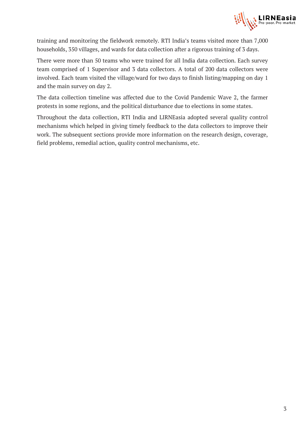

training and monitoring the fieldwork remotely. RTI India's teams visited more than 7,000 households, 350 villages, and wards for data collection after a rigorous training of 3 days.

There were more than 50 teams who were trained for all India data collection. Each survey team comprised of 1 Supervisor and 3 data collectors. A total of 200 data collectors were involved. Each team visited the village/ward for two days to finish listing/mapping on day 1 and the main survey on day 2.

The data collection timeline was affected due to the Covid Pandemic Wave 2, the farmer protests in some regions, and the political disturbance due to elections in some states.

Throughout the data collection, RTI India and LIRNEasia adopted several quality control mechanisms which helped in giving timely feedback to the data collectors to improve their work. The subsequent sections provide more information on the research design, coverage, field problems, remedial action, quality control mechanisms, etc.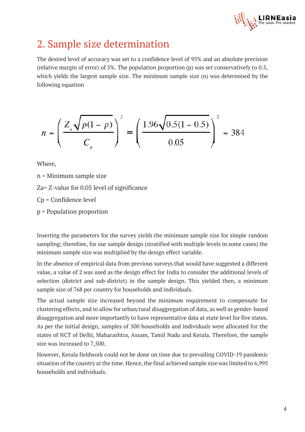

## <span id="page-4-0"></span>2. Sample size determination

The desired level of accuracy was set to a confidence level of 95% and an absolute precision (relative margin of error) of 5%. The population proportion (p) was set conservatively to 0.5, which yields the largest sample size. The minimum sample size (n) was determined by the following equation

$$
n = \left(\frac{Z_a \sqrt{p(1-p)}}{C_p}\right)^2 = \left(\frac{1.96 \sqrt{0.5(1-0.5)}}{0.05}\right)^2 = 384
$$

Where,

n = Minimum sample size Za= Z-value for 0.05 level of significance Cp = Confidence level p = Population proportion

Inserting the parameters for the survey yields the minimum sample size for simple random sampling; therefore, for our sample design (stratified with multiple levels in some cases) the minimum sample size was multiplied by the design effect variable.

In the absence of empirical data from previous surveys that would have suggested a different value, a value of 2 was used as the design effect for India to consider the additional levels of selection (district and sub-district) in the sample design. This yielded then, a minimum sample size of 768 per country for households and individuals.

The actual sample size increased beyond the minimum requirement to compensate for clustering effects, and to allow for urban/rural disaggregation of data, as well as gender-based disaggregation and more importantly to have representative data at state level for five states. As per the initial design, samples of 500 households and individuals were allocated for the states of NCT of Delhi, Maharashtra, Assam, Tamil Nadu and Kerala. Therefore, the sample size was increased to 7,500.

However, Kerala fieldwork could not be done on time due to prevailing COVID-19 pandemic situation of the country at the time. Hence, the final achieved sample size was limited to 6,995 households and individuals.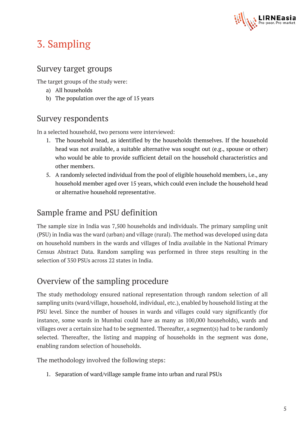

## <span id="page-5-0"></span>3. Sampling

### <span id="page-5-1"></span>Survey target groups

The target groups of the study were:

- a) All households
- b) The population over the age of 15 years

### <span id="page-5-2"></span>Survey respondents

In a selected household, two persons were interviewed:

- 1. The household head, as identified by the households themselves. If the household head was not available, a suitable alternative was sought out (e.g., spouse or other) who would be able to provide sufficient detail on the household characteristics and other members.
- 5. A randomly selected individual from the pool of eligible household members, i.e., any household member aged over 15 years, which could even include the household head or alternative household representative.

## <span id="page-5-3"></span>Sample frame and PSU definition

The sample size in India was 7,500 households and individuals. The primary sampling unit (PSU) in India was the ward (urban) and village (rural). The method was developed using data on household numbers in the wards and villages of India available in the National Primary Census Abstract Data. Random sampling was performed in three steps resulting in the selection of 350 PSUs across 22 states in India.

## <span id="page-5-4"></span>Overview of the sampling procedure

The study methodology ensured national representation through random selection of all sampling units (ward/village, household, individual, etc.), enabled by household listing at the PSU level. Since the number of houses in wards and villages could vary significantly (for instance, some wards in Mumbai could have as many as 100,000 households), wards and villages over a certain size had to be segmented. Thereafter, a segment(s) had to be randomly selected. Thereafter, the listing and mapping of households in the segment was done, enabling random selection of households.

The methodology involved the following steps:

1. Separation of ward/village sample frame into urban and rural PSUs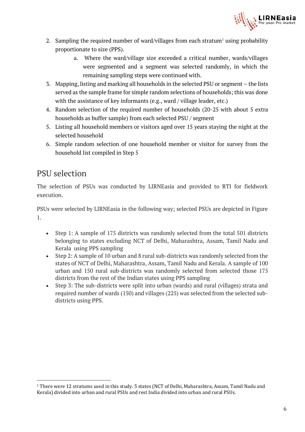

- 2. Sampling the required number of ward/villages from each stratum<sup>1</sup> using probability proportionate to size (PPS).
	- a. Where the ward/village size exceeded a critical number, wards/villages were segmented and a segment was selected randomly, in which the remaining sampling steps were continued with.
- 3. Mapping, listing and marking all households in the selected PSU or segment the lists served as the sample frame for simple random selections of households; this was done with the assistance of key informants (e.g., ward / village leader, etc.)
- 4. Random selection of the required number of households (20-25 with about 5 extra households as buffer sample) from each selected PSU / segment
- 5. Listing all household members or visitors aged over 15 years staying the night at the selected household
- 6. Simple random selection of one household member or visitor for survey from the household list compiled in Step 5

### <span id="page-6-0"></span>PSU selection

The selection of PSUs was conducted by LIRNEasia and provided to RTI for fieldwork execution.

PSUs were selected by LIRNEasia in the following way; selected PSUs are depicted in Figure 1.

- Step 1: A sample of 175 districts was randomly selected from the total 501 districts belonging to states excluding NCT of Delhi, Maharashtra, Assam, Tamil Nadu and Kerala using PPS sampling
- Step 2: A sample of 10 urban and 8 rural sub-districts was randomly selected from the states of NCT of Delhi, Maharashtra, Assam, Tamil Nadu and Kerala. A sample of 100 urban and 150 rural sub-districts was randomly selected from selected those 175 districts from the rest of the Indian states using PPS sampling
- Step 3: The sub-districts were split into urban (wards) and rural (villages) strata and required number of wards (150) and villages (225) was selected from the selected subdistricts using PPS.

<sup>1</sup> There were 12 stratums used in this study. 5 states (NCT of Delhi, Maharashtra, Assam, Tamil Nadu and Kerala) divided into urban and rural PSUs and rest India divided into urban and rural PSUs.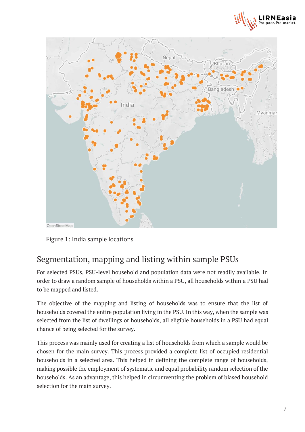



Figure 1: India sample locations

### <span id="page-7-0"></span>Segmentation, mapping and listing within sample PSUs

For selected PSUs, PSU-level household and population data were not readily available. In order to draw a random sample of households within a PSU, all households within a PSU had to be mapped and listed.

The objective of the mapping and listing of households was to ensure that the list of households covered the entire population living in the PSU. In this way, when the sample was selected from the list of dwellings or households, all eligible households in a PSU had equal chance of being selected for the survey.

This process was mainly used for creating a list of households from which a sample would be chosen for the main survey. This process provided a complete list of occupied residential households in a selected area. This helped in defining the complete range of households, making possible the employment of systematic and equal probability random selection of the households. As an advantage, this helped in circumventing the problem of biased household selection for the main survey.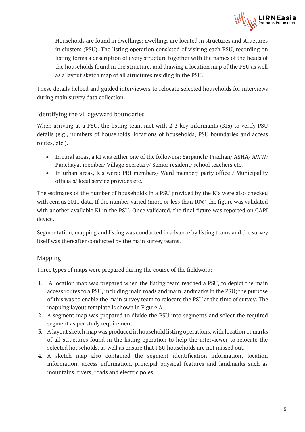

Households are found in dwellings; dwellings are located in structures and structures in clusters (PSU). The listing operation consisted of visiting each PSU, recording on listing forms a description of every structure together with the names of the heads of the households found in the structure, and drawing a location map of the PSU as well as a layout sketch map of all structures residing in the PSU.

These details helped and guided interviewers to relocate selected households for interviews during main survey data collection.

#### <span id="page-8-0"></span>Identifying the village/ward boundaries

When arriving at a PSU, the listing team met with 2-3 key informants (KIs) to verify PSU details (e.g., numbers of households, locations of households, PSU boundaries and access routes, etc.).

- In rural areas, a KI was either one of the following: Sarpanch/ Pradhan/ ASHA/ AWW/ Panchayat member/ Village Secretary/ Senior resident/ school teachers etc.
- In urban areas, KIs were: PRI members/ Ward member/ party office / Municipality officials/ local service provides etc.

The estimates of the number of households in a PSU provided by the KIs were also checked with census 2011 data. If the number varied (more or less than 10%) the figure was validated with another available KI in the PSU. Once validated, the final figure was reported on CAPI device.

Segmentation, mapping and listing was conducted in advance by listing teams and the survey itself was thereafter conducted by the main survey teams.

#### <span id="page-8-1"></span>Mapping

Three types of maps were prepared during the course of the fieldwork:

- 1. A location map was prepared when the listing team reached a PSU, to depict the main access routes to a PSU, including main roads and main landmarks in the PSU; the purpose of this was to enable the main survey team to relocate the PSU at the time of survey. The mapping layout template is shown in Figure A1.
- 2. A segment map was prepared to divide the PSU into segments and select the required segment as per study requirement.
- 3. A layout sketch map was produced in household listing operations, with location or marks of all structures found in the listing operation to help the interviewer to relocate the selected households, as well as ensure that PSU households are not missed out.
- 4. A sketch map also contained the segment identification information, location information, access information, principal physical features and landmarks such as mountains, rivers, roads and electric poles.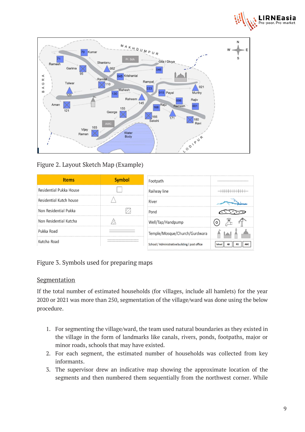



Figure 2. Layout Sketch Map (Example)

| <b>Items</b>                             | <b>Symbol</b> | Footpath                                       |                                         |  |
|------------------------------------------|---------------|------------------------------------------------|-----------------------------------------|--|
| Residential Pukka House                  |               | Railway line                                   |                                         |  |
| Residential Kutch house                  |               | River                                          |                                         |  |
| Non Residential Pukka                    |               | Pond                                           |                                         |  |
| Non Residential Kutcha                   |               | Well/Tap/Handpump                              | $\circ$                                 |  |
| Pukka Road                               |               | Temple/Mosque/Church/Gurdwara                  |                                         |  |
| Kutcha Road<br>------------------------- |               | School / Administrative building / post office | <b>AB</b><br><b>AWC</b><br>School<br>PO |  |

#### Figure 3. Symbols used for preparing maps

#### <span id="page-9-0"></span>Segmentation

If the total number of estimated households (for villages, include all hamlets) for the year 2020 or 2021 was more than 250, segmentation of the village/ward was done using the below procedure.

- 1. For segmenting the village/ward, the team used natural boundaries as they existed in the village in the form of landmarks like canals, rivers, ponds, footpaths, major or minor roads, schools that may have existed.
- 2. For each segment, the estimated number of households was collected from key informants.
- 3. The supervisor drew an indicative map showing the approximate location of the segments and then numbered them sequentially from the northwest corner. While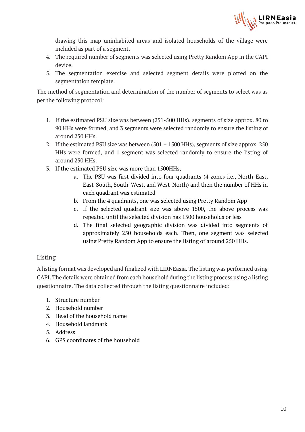

drawing this map uninhabited areas and isolated households of the village were included as part of a segment.

- 4. The required number of segments was selected using Pretty Random App in the CAPI device.
- 5. The segmentation exercise and selected segment details were plotted on the segmentation template.

The method of segmentation and determination of the number of segments to select was as per the following protocol:

- 1. If the estimated PSU size was between (251-500 HHs), segments of size approx. 80 to 90 HHs were formed, and 3 segments were selected randomly to ensure the listing of around 250 HHs.
- 2. If the estimated PSU size was between (501 1500 HHs), segments of size approx. 250 HHs were formed, and 1 segment was selected randomly to ensure the listing of around 250 HHs.
- 3. If the estimated PSU size was more than 1500HHs,
	- a. The PSU was first divided into four quadrants (4 zones i.e., North-East, East-South, South-West, and West-North) and then the number of HHs in each quadrant was estimated
	- b. From the 4 quadrants, one was selected using Pretty Random App
	- c. If the selected quadrant size was above 1500, the above process was repeated until the selected division has 1500 households or less
	- d. The final selected geographic division was divided into segments of approximately 250 households each. Then, one segment was selected using Pretty Random App to ensure the listing of around 250 HHs.

#### <span id="page-10-0"></span>**Listing**

A listing format was developed and finalized with LIRNEasia. The listing was performed using CAPI. The details were obtained from each household during the listing process using a listing questionnaire. The data collected through the listing questionnaire included:

- 1. Structure number
- 2. Household number
- 3. Head of the household name
- 4. Household landmark
- 5. Address
- 6. GPS coordinates of the household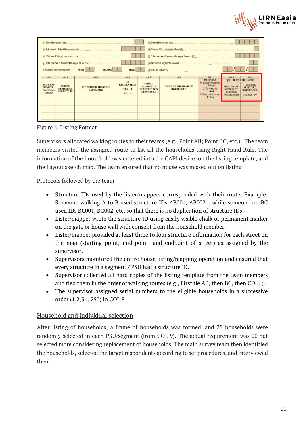

| (a) State Name and code                                                   |                                                                              |                                                                 |                                                                            |                                                                                       | (b) District Name and code                              |                                                                                                                               |                                                                                         |                                                                                                               |  |
|---------------------------------------------------------------------------|------------------------------------------------------------------------------|-----------------------------------------------------------------|----------------------------------------------------------------------------|---------------------------------------------------------------------------------------|---------------------------------------------------------|-------------------------------------------------------------------------------------------------------------------------------|-----------------------------------------------------------------------------------------|---------------------------------------------------------------------------------------------------------------|--|
|                                                                           | <b>THIRD</b><br>(i) Selected segment number<br><b>SECOND</b><br><b>FIRST</b> |                                                                 |                                                                            |                                                                                       |                                                         |                                                                                                                               |                                                                                         |                                                                                                               |  |
| COL <sub>1</sub><br><b>SEGMENT</b><br>NUMBER,<br>Put "0" if no<br>segment | COL <sub>2</sub><br><b>SERIAL</b><br><b>NUMBER OF</b><br><b>STRUCTURE</b>    | COL <sub>3</sub><br><b>HOUSEHOLD ADDRESS</b><br><b>LANDMARK</b> | COL <sub>4</sub><br><b>IS</b><br><b>RESIDENTIAL?</b><br><b>YES1</b><br>NO0 | COL 5<br><b>SERIAL</b><br><b>NUMBER OF</b><br><b>HOUSEHOLD IN</b><br><b>STRUCTURE</b> | COL 6<br><b>NAME OF THE HEAD OF</b><br><b>HOUSEHOLD</b> | COL 7<br><b>REMARKS</b><br>0. Eligible Household<br>1. Refused<br>2. Permanently<br>Locked<br>3. Temporary Locked<br>4. other | COL 8<br><b>GIVE SERIAL</b><br><b>NUMBER TO</b><br><b>ELIGIBLE</b><br><b>HOUSEHOLDS</b> | COL 9<br>[TO BE FILLED LATER]<br><b>TICK THE</b><br><b>SELECTED</b><br><b>HOUSEHOLD</b><br><b>USE SRS APP</b> |  |
|                                                                           |                                                                              |                                                                 |                                                                            |                                                                                       |                                                         |                                                                                                                               |                                                                                         |                                                                                                               |  |

Figure 4. Listing Format

Supervisors allocated walking routes to their teams (e.g., Point AB; Point BC, etc.). The team members visited the assigned route to list all the households using Right Hand Rule. The information of the household was entered into the CAPI device, on the listing template, and the Layout sketch map. The team ensured that no house was missed out on listing

Protocols followed by the team

- Structure IDs used by the lister/mappers corresponded with their route. Example: Someone walking A to B used structure IDs AB001, AB002... while someone on BC used IDs BC001, BC002, etc. so that there is no duplication of structure IDs.
- Lister/mapper wrote the structure ID using easily visible chalk or permanent marker on the gate or house wall with consent from the household member.
- Lister/mapper provided at least three to four structure information for each street on the map (starting point, mid-point, and endpoint of street) as assigned by the supervisor.
- Supervisors monitored the entire house listing/mapping operation and ensured that every structure in a segment / PSU had a structure ID.
- Supervisor collected all hard copies of the listing template from the team members and tied them in the order of walking routes (e.g., First tie AB, then BC, then CD….).
- The supervisor assigned serial numbers to the eligible households in a successive order (1,2,3….250) in COL 8

#### <span id="page-11-0"></span>Household and individual selection

After listing of households, a frame of households was formed, and 25 households were randomly selected in each PSU/segment (from COL 9). The actual requirement was 20 but selected more considering replacement of households. The main survey team then identified the households, selected the target respondents according to set procedures, and interviewed them.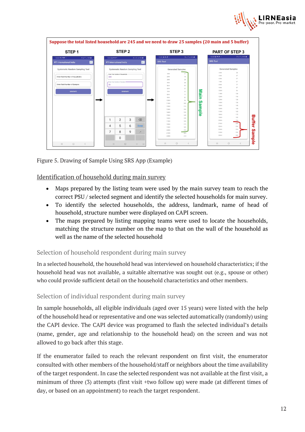



Figure 5. Drawing of Sample Using SRS App (Example)

#### <span id="page-12-0"></span>Identification of household during main survey

- Maps prepared by the listing team were used by the main survey team to reach the correct PSU / selected segment and identify the selected households for main survey.
- To identify the selected households, the address, landmark, name of head of household, structure number were displayed on CAPI screen.
- The maps prepared by listing mapping teams were used to locate the households, matching the structure number on the map to that on the wall of the household as well as the name of the selected household

#### Selection of household respondent during main survey

In a selected household, the household head was interviewed on household characteristics; if the household head was not available, a suitable alternative was sought out (e.g., spouse or other) who could provide sufficient detail on the household characteristics and other members.

#### Selection of individual respondent during main survey

In sample households, all eligible individuals (aged over 15 years) were listed with the help of the household head or representative and one was selected automatically (randomly) using the CAPI device. The CAPI device was programed to flash the selected individual's details (name, gender, age and relationship to the household head) on the screen and was not allowed to go back after this stage.

If the enumerator failed to reach the relevant respondent on first visit, the enumerator consulted with other members of the household/staff or neighbors about the time availability of the target respondent. In case the selected respondent was not available at the first visit, a minimum of three (3) attempts (first visit +two follow up) were made (at different times of day, or based on an appointment) to reach the target respondent.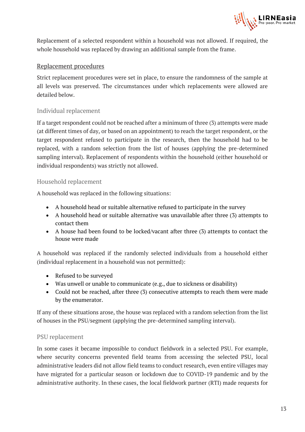

Replacement of a selected respondent within a household was not allowed. If required, the whole household was replaced by drawing an additional sample from the frame.

#### <span id="page-13-0"></span>Replacement procedures

Strict replacement procedures were set in place, to ensure the randomness of the sample at all levels was preserved. The circumstances under which replacements were allowed are detailed below.

#### Individual replacement

If a target respondent could not be reached after a minimum of three (3) attempts were made (at different times of day, or based on an appointment) to reach the target respondent, or the target respondent refused to participate in the research, then the household had to be replaced, with a random selection from the list of houses (applying the pre-determined sampling interval). Replacement of respondents within the household (either household or individual respondents) was strictly not allowed.

#### Household replacement

A household was replaced in the following situations:

- A household head or suitable alternative refused to participate in the survey
- A household head or suitable alternative was unavailable after three (3) attempts to contact them
- A house had been found to be locked/vacant after three (3) attempts to contact the house were made

A household was replaced if the randomly selected individuals from a household either (individual replacement in a household was not permitted):

- Refused to be surveyed
- Was unwell or unable to communicate (e.g., due to sickness or disability)
- Could not be reached, after three (3) consecutive attempts to reach them were made by the enumerator.

If any of these situations arose, the house was replaced with a random selection from the list of houses in the PSU/segment (applying the pre-determined sampling interval).

#### PSU replacement

In some cases it became impossible to conduct fieldwork in a selected PSU. For example, where security concerns prevented field teams from accessing the selected PSU, local administrative leaders did not allow field teams to conduct research, even entire villages may have migrated for a particular season or lockdown due to COVID-19 pandemic and by the administrative authority. In these cases, the local fieldwork partner (RTI) made requests for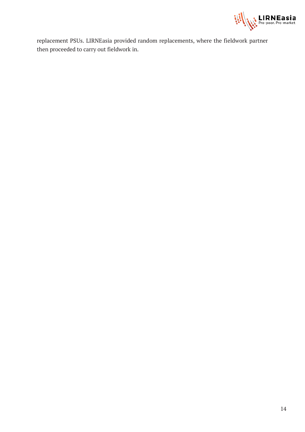

replacement PSUs. LIRNEasia provided random replacements, where the fieldwork partner then proceeded to carry out fieldwork in.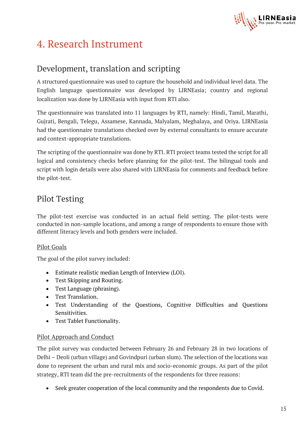

## <span id="page-15-0"></span>4. Research Instrument

### <span id="page-15-1"></span>Development, translation and scripting

A structured questionnaire was used to capture the household and individual level data. The English language questionnaire was developed by LIRNEasia; country and regional localization was done by LIRNEasia with input from RTI also.

The questionnaire was translated into 11 languages by RTI, namely: Hindi, Tamil, Marathi, Gujrati, Bengali, Telegu, Assamese, Kannada, Malyalam, Meghalaya, and Oriya. LIRNEasia had the questionnaire translations checked over by external consultants to ensure accurate and context-appropriate translations.

The scripting of the questionnaire was done by RTI. RTI project teams tested the script for all logical and consistency checks before planning for the pilot-test. The bilingual tools and script with login details were also shared with LIRNEasia for comments and feedback before the pilot-test.

### <span id="page-15-2"></span>Pilot Testing

The pilot-test exercise was conducted in an actual field setting. The pilot-tests were conducted in non-sample locations, and among a range of respondents to ensure those with different literacy levels and both genders were included.

#### <span id="page-15-3"></span>Pilot Goals

The goal of the pilot survey included:

- Estimate realistic median Length of Interview (LOI).
- Test Skipping and Routing.
- Test Language (phrasing).
- Test Translation.
- Test Understanding of the Questions, Cognitive Difficulties and Questions Sensitivities.
- Test Tablet Functionality.

#### <span id="page-15-4"></span>Pilot Approach and Conduct

The pilot survey was conducted between February 26 and February 28 in two locations of Delhi – Deoli (urban village) and Govindpuri (urban slum). The selection of the locations was done to represent the urban and rural mix and socio-economic groups. As part of the pilot strategy, RTI team did the pre-recruitments of the respondents for three reasons:

• Seek greater cooperation of the local community and the respondents due to Covid.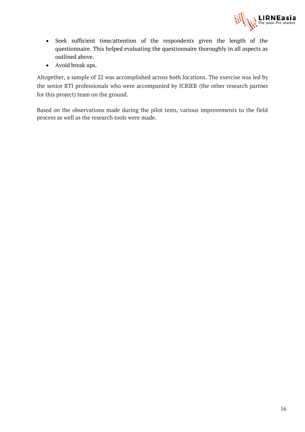

- Seek sufficient time/attention of the respondents given the length of the questionnaire. This helped evaluating the questionnaire thoroughly in all aspects as outlined above.
- Avoid break ups.

Altogether, a sample of 22 was accomplished across both locations. The exercise was led by the senior RTI professionals who were accompanied by ICRIER (the other research partner for this project) team on the ground.

Based on the observations made during the pilot tests, various improvements to the field process as well as the research tools were made.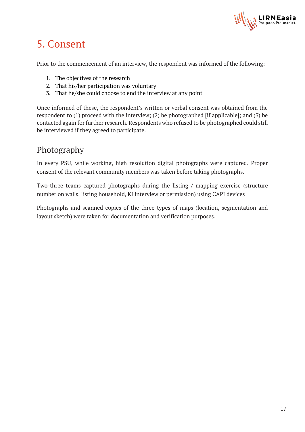

## <span id="page-17-0"></span>5. Consent

Prior to the commencement of an interview, the respondent was informed of the following:

- 1. The objectives of the research
- 2. That his/her participation was voluntary
- 3. That he/she could choose to end the interview at any point

Once informed of these, the respondent's written or verbal consent was obtained from the respondent to (1) proceed with the interview; (2) be photographed [if applicable]; and (3) be contacted again for further research. Respondents who refused to be photographed could still be interviewed if they agreed to participate.

## <span id="page-17-1"></span>Photography

In every PSU, while working, high resolution digital photographs were captured. Proper consent of the relevant community members was taken before taking photographs.

Two-three teams captured photographs during the listing / mapping exercise (structure number on walls, listing household, KI interview or permission) using CAPI devices

Photographs and scanned copies of the three types of maps (location, segmentation and layout sketch) were taken for documentation and verification purposes.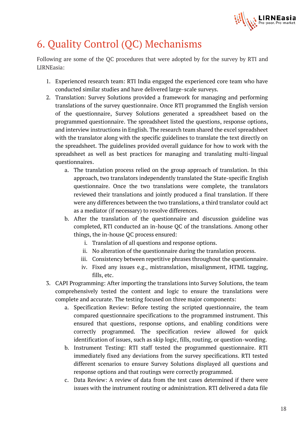

## <span id="page-18-0"></span>6. Quality Control (QC) Mechanisms

Following are some of the QC procedures that were adopted by for the survey by RTI and LIRNEasia:

- 1. Experienced research team: RTI India engaged the experienced core team who have conducted similar studies and have delivered large-scale surveys.
- 2. Translation: Survey Solutions provided a framework for managing and performing translations of the survey questionnaire. Once RTI programmed the English version of the questionnaire, Survey Solutions generated a spreadsheet based on the programmed questionnaire. The spreadsheet listed the questions, response options, and interview instructions in English. The research team shared the excel spreadsheet with the translator along with the specific guidelines to translate the text directly on the spreadsheet. The guidelines provided overall guidance for how to work with the spreadsheet as well as best practices for managing and translating multi-lingual questionnaires.
	- a. The translation process relied on the group approach of translation. In this approach, two translators independently translated the State-specific English questionnaire. Once the two translations were complete, the translators reviewed their translations and jointly produced a final translation. If there were any differences between the two translations, a third translator could act as a mediator (if necessary) to resolve differences.
	- b. After the translation of the questionnaire and discussion guideline was completed, RTI conducted an in-house QC of the translations. Among other things, the in-house QC process ensured:
		- i. Translation of all questions and response options.
		- ii. No alteration of the questionnaire during the translation process.
		- iii. Consistency between repetitive phrases throughout the questionnaire.
		- iv. Fixed any issues e.g., mistranslation, misalignment, HTML tagging, fills, etc.
- 3. CAPI Programming: After importing the translations into Survey Solutions, the team comprehensively tested the content and logic to ensure the translations were complete and accurate. The testing focused on three major components:
	- a. Specification Review: Before testing the scripted questionnaire, the team compared questionnaire specifications to the programmed instrument. This ensured that questions, response options, and enabling conditions were correctly programmed. The specification review allowed for quick identification of issues, such as skip logic, fills, routing, or question-wording.
	- b. Instrument Testing: RTI staff tested the programmed questionnaire. RTI immediately fixed any deviations from the survey specifications. RTI tested different scenarios to ensure Survey Solutions displayed all questions and response options and that routings were correctly programmed.
	- c. Data Review: A review of data from the test cases determined if there were issues with the instrument routing or administration. RTI delivered a data file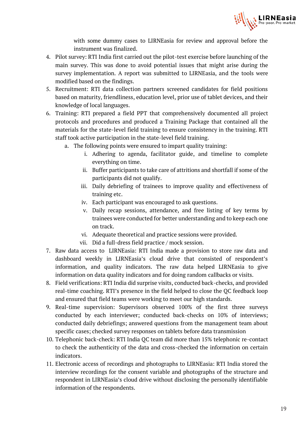

with some dummy cases to LIRNEasia for review and approval before the instrument was finalized.

- 4. Pilot survey: RTI India first carried out the pilot-test exercise before launching of the main survey. This was done to avoid potential issues that might arise during the survey implementation. A report was submitted to LIRNEasia, and the tools were modified based on the findings.
- 5. Recruitment: RTI data collection partners screened candidates for field positions based on maturity, friendliness, education level, prior use of tablet devices, and their knowledge of local languages.
- 6. Training: RTI prepared a field PPT that comprehensively documented all project protocols and procedures and produced a Training Package that contained all the materials for the state-level field training to ensure consistency in the training. RTI staff took active participation in the state-level field training.
	- a. The following points were ensured to impart quality training:
		- i. Adhering to agenda, facilitator guide, and timeline to complete everything on time.
		- ii. Buffer participants to take care of attritions and shortfall if some of the participants did not qualify.
		- iii. Daily debriefing of trainees to improve quality and effectiveness of training etc.
		- iv. Each participant was encouraged to ask questions.
		- v. Daily recap sessions, attendance, and free listing of key terms by trainees were conducted for better understanding and to keep each one on track.
		- vi. Adequate theoretical and practice sessions were provided.
		- vii. Did a full-dress field practice / mock session.
- 7. Raw data access to LIRNEasia: RTI India made a provision to store raw data and dashboard weekly in LIRNEasia's cloud drive that consisted of respondent's information, and quality indicators. The raw data helped LIRNEasia to give information on data quality indicators and for doing random callbacks or visits.
- 8. Field verifications: RTI India did surprise visits, conducted back-checks, and provided real-time coaching. RTI's presence in the field helped to close the QC feedback loop and ensured that field teams were working to meet our high standards.
- 9. Real-time supervision: Supervisors observed 100% of the first three surveys conducted by each interviewer; conducted back-checks on 10% of interviews; conducted daily debriefings; answered questions from the management team about specific cases; checked survey responses on tablets before data transmission
- 10. Telephonic back-check: RTI India QC team did more than 15% telephonic re-contact to check the authenticity of the data and cross-checked the information on certain indicators.
- 11. Electronic access of recordings and photographs to LIRNEasia: RTI India stored the interview recordings for the consent variable and photographs of the structure and respondent in LIRNEasia's cloud drive without disclosing the personally identifiable information of the respondents.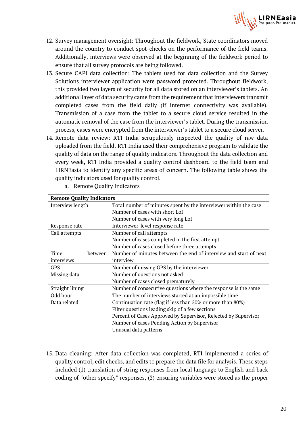

- 12. Survey management oversight: Throughout the fieldwork, State coordinators moved around the country to conduct spot-checks on the performance of the field teams. Additionally, interviews were observed at the beginning of the fieldwork period to ensure that all survey protocols are being followed.
- 13. Secure CAPI data collection: The tablets used for data collection and the Survey Solutions interviewer application were password protected. Throughout fieldwork, this provided two layers of security for all data stored on an interviewer's tablets. An additional layer of data security came from the requirement that interviewers transmit completed cases from the field daily (if internet connectivity was available). Transmission of a case from the tablet to a secure cloud service resulted in the automatic removal of the case from the interviewer's tablet. During the transmission process, cases were encrypted from the interviewer's tablet to a secure cloud server.
- 14. Remote data review: RTI India scrupulously inspected the quality of raw data uploaded from the field. RTI India used their comprehensive program to validate the quality of data on the range of quality indicators. Throughout the data collection and every week, RTI India provided a quality control dashboard to the field team and LIRNEasia to identify any specific areas of concern. The following table shows the quality indicators used for quality control.

| <b>Remote Quality Indicators</b> |                                                                  |  |  |  |
|----------------------------------|------------------------------------------------------------------|--|--|--|
| Interview length                 | Total number of minutes spent by the interviewer within the case |  |  |  |
|                                  | Number of cases with short LoI                                   |  |  |  |
|                                  | Number of cases with very long LoI                               |  |  |  |
| Response rate                    | Interviewer-level response rate                                  |  |  |  |
| Call attempts                    | Number of call attempts                                          |  |  |  |
|                                  | Number of cases completed in the first attempt                   |  |  |  |
|                                  | Number of cases closed before three attempts                     |  |  |  |
| Time<br>between                  | Number of minutes between the end of interview and start of next |  |  |  |
| interviews                       | interview                                                        |  |  |  |
| <b>GPS</b>                       | Number of missing GPS by the interviewer                         |  |  |  |
| Missing data                     | Number of questions not asked                                    |  |  |  |
|                                  | Number of cases closed prematurely                               |  |  |  |
| Straight lining                  | Number of consecutive questions where the response is the same   |  |  |  |
| Odd hour                         | The number of interviews started at an impossible time           |  |  |  |
| Data related                     | Continuation rate (flag if less than 50% or more than 80%)       |  |  |  |
|                                  | Filter questions leading skip of a few sections                  |  |  |  |
|                                  | Percent of Cases Approved by Supervisor, Rejected by Supervisor  |  |  |  |
|                                  | Number of cases Pending Action by Supervisor                     |  |  |  |
|                                  | Unusual data patterns                                            |  |  |  |

a. Remote Quality Indicators

15. Data cleaning: After data collection was completed, RTI implemented a series of quality control, edit checks, and edits to prepare the data file for analysis. These steps included (1) translation of string responses from local language to English and back coding of "other specify" responses, (2) ensuring variables were stored as the proper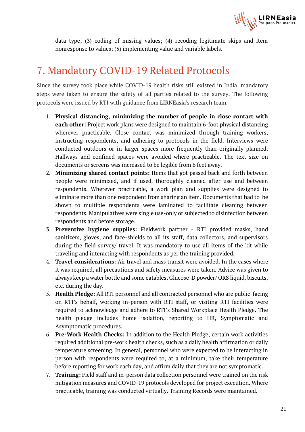

data type; (3) coding of missing values; (4) recoding legitimate skips and item nonresponse to values; (5) implementing value and variable labels.

## <span id="page-21-0"></span>7. Mandatory COVID-19 Related Protocols

Since the survey took place while COVID-19 health risks still existed in India, mandatory steps were taken to ensure the safety of all parties related to the survey. The following protocols were issued by RTI with guidance from LIRNEasia's research team.

- 1. **Physical distancing, minimizing the number of people in close contact with each other:** Project work plans were designed to maintain 6-foot physical distancing wherever practicable. Close contact was minimized through training workers, instructing respondents, and adhering to protocols in the field. Interviews were conducted outdoors or in larger spaces more frequently than originally planned. Hallways and confined spaces were avoided where practicable. The text size on documents or screens was increased to be legible from 6 feet away.
- 2. **Minimizing shared contact points:** Items that got passed back and forth between people were minimized, and if used, thoroughly cleaned after use and between respondents. Wherever practicable, a work plan and supplies were designed to eliminate more than one respondent from sharing an item. Documents that had to be shown to multiple respondents were laminated to facilitate cleaning between respondents. Manipulatives were single use-only or subjected to disinfection between respondents and before storage.
- 3. **Preventive hygiene supplies:** Fieldwork partner RTI provided masks, hand sanitizers, gloves, and face-shields to all its staff, data collectors, and supervisors during the field survey/ travel. It was mandatory to use all items of the kit while traveling and interacting with respondents as per the training provided.
- 4. **Travel considerations:** Air travel and mass transit were avoided. In the cases where it was required, all precautions and safety measures were taken. Advice was given to always keep a water bottle and some eatables, Glucose-D powder/ ORS liquid, biscuits, etc. during the day.
- 5. **Health Pledge:** All RTI personnel and all contracted personnel who are public-facing on RTI's behalf, working in-person with RTI staff, or visiting RTI facilities were required to acknowledge and adhere to RTI's Shared Workplace Health Pledge. The health pledge includes home isolation, reporting to HR, Symptomatic and Asymptomatic procedures.
- 6. **Pre-Work Health Checks:** In addition to the Health Pledge, certain work activities required additional pre-work health checks, such as a daily health affirmation or daily temperature screening. In general, personnel who were expected to be interacting in person with respondents were required to, at a minimum, take their temperature before reporting for work each day, and affirm daily that they are not symptomatic.
- 7. **Training:** Field staff and in-person data collection personnel were trained on the risk mitigation measures and COVID-19 protocols developed for project execution. Where practicable, training was conducted virtually. Training Records were maintained.